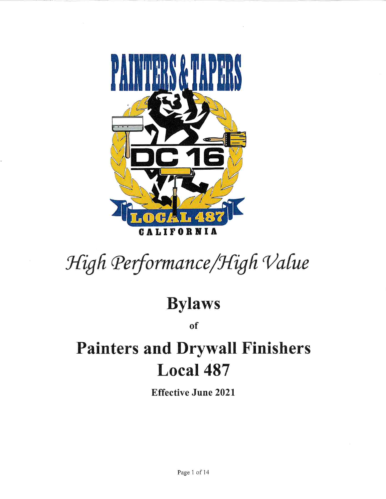

# High Performance/High Value

## **Bylaws**

of

## **Painters and Drywall Finishers** Local 487

**Effective June 2021**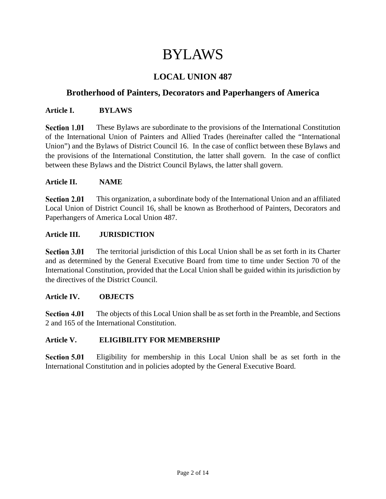## BYLAWS

## **LOCAL UNION 487**

## **Brotherhood of Painters, Decorators and Paperhangers of America**

#### **Article I. BYLAWS**

**Section 1.01** These Bylaws are subordinate to the provisions of the International Constitution of the International Union of Painters and Allied Trades (hereinafter called the "International Union") and the Bylaws of District Council 16. In the case of conflict between these Bylaws and the provisions of the International Constitution, the latter shall govern. In the case of conflict between these Bylaws and the District Council Bylaws, the latter shall govern.

#### **Article II. NAME**

**Section 2.01** This organization, a subordinate body of the International Union and an affiliated Local Union of District Council 16, shall be known as Brotherhood of Painters, Decorators and Paperhangers of America Local Union 487.

#### **Article III. JURISDICTION**

The territorial jurisdiction of this Local Union shall be as set forth in its Charter **Section 3.01** and as determined by the General Executive Board from time to time under Section 70 of the International Constitution, provided that the Local Union shall be guided within its jurisdiction by the directives of the District Council.

#### **Article IV. OBJECTS**

**Section 4.01** The objects of this Local Union shall be as set forth in the Preamble, and Sections 2 and 165 of the International Constitution.

#### **Article V. ELIGIBILITY FOR MEMBERSHIP**

**Section 5.01** Eligibility for membership in this Local Union shall be as set forth in the International Constitution and in policies adopted by the General Executive Board.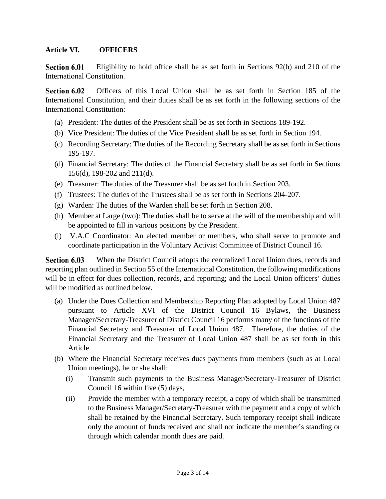#### **Article VI. OFFICERS**

Section 6.01 Eligibility to hold office shall be as set forth in Sections 92(b) and 210 of the International Constitution.

Section 6.02 Officers of this Local Union shall be as set forth in Section 185 of the International Constitution, and their duties shall be as set forth in the following sections of the International Constitution:

- (a) President: The duties of the President shall be as set forth in Sections 189-192.
- (b) Vice President: The duties of the Vice President shall be as set forth in Section 194.
- (c) Recording Secretary: The duties of the Recording Secretary shall be as set forth in Sections 195-197.
- (d) Financial Secretary: The duties of the Financial Secretary shall be as set forth in Sections 156(d), 198-202 and 211(d).
- (e) Treasurer: The duties of the Treasurer shall be as set forth in Section 203.
- (f) Trustees: The duties of the Trustees shall be as set forth in Sections 204-207.
- (g) Warden: The duties of the Warden shall be set forth in Section 208.
- (h) Member at Large (two): The duties shall be to serve at the will of the membership and will be appointed to fill in various positions by the President.
- (i) V.A.C Coordinator: An elected member or members, who shall serve to promote and coordinate participation in the Voluntary Activist Committee of District Council 16.

Section 6.03 When the District Council adopts the centralized Local Union dues, records and reporting plan outlined in Section 55 of the International Constitution, the following modifications will be in effect for dues collection, records, and reporting; and the Local Union officers' duties will be modified as outlined below.

- (a) Under the Dues Collection and Membership Reporting Plan adopted by Local Union 487 pursuant to Article XVI of the District Council 16 Bylaws, the Business Manager/Secretary-Treasurer of District Council 16 performs many of the functions of the Financial Secretary and Treasurer of Local Union 487. Therefore, the duties of the Financial Secretary and the Treasurer of Local Union 487 shall be as set forth in this Article.
- (b) Where the Financial Secretary receives dues payments from members (such as at Local Union meetings), he or she shall:
	- (i) Transmit such payments to the Business Manager/Secretary-Treasurer of District Council 16 within five (5) days,
	- (ii) Provide the member with a temporary receipt, a copy of which shall be transmitted to the Business Manager/Secretary-Treasurer with the payment and a copy of which shall be retained by the Financial Secretary. Such temporary receipt shall indicate only the amount of funds received and shall not indicate the member's standing or through which calendar month dues are paid.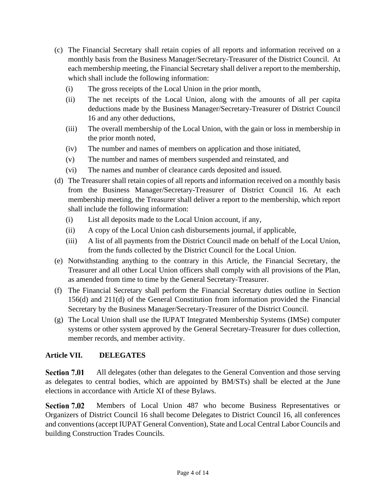- (c) The Financial Secretary shall retain copies of all reports and information received on a monthly basis from the Business Manager/Secretary-Treasurer of the District Council. At each membership meeting, the Financial Secretary shall deliver a report to the membership, which shall include the following information:
	- (i) The gross receipts of the Local Union in the prior month,
	- (ii) The net receipts of the Local Union, along with the amounts of all per capita deductions made by the Business Manager/Secretary-Treasurer of District Council 16 and any other deductions,
	- (iii) The overall membership of the Local Union, with the gain or loss in membership in the prior month noted,
	- (iv) The number and names of members on application and those initiated,
	- (v) The number and names of members suspended and reinstated, and
	- (vi) The names and number of clearance cards deposited and issued.
- (d) The Treasurer shall retain copies of all reports and information received on a monthly basis from the Business Manager/Secretary-Treasurer of District Council 16. At each membership meeting, the Treasurer shall deliver a report to the membership, which report shall include the following information:
	- (i) List all deposits made to the Local Union account, if any,
	- (ii) A copy of the Local Union cash disbursements journal, if applicable,
	- (iii) A list of all payments from the District Council made on behalf of the Local Union, from the funds collected by the District Council for the Local Union.
- (e) Notwithstanding anything to the contrary in this Article, the Financial Secretary, the Treasurer and all other Local Union officers shall comply with all provisions of the Plan, as amended from time to time by the General Secretary-Treasurer.
- (f) The Financial Secretary shall perform the Financial Secretary duties outline in Section 156(d) and 211(d) of the General Constitution from information provided the Financial Secretary by the Business Manager/Secretary-Treasurer of the District Council.
- (g) The Local Union shall use the IUPAT Integrated Membership Systems (IMSe) computer systems or other system approved by the General Secretary-Treasurer for dues collection, member records, and member activity.

### **Article VII. DELEGATES**

All delegates (other than delegates to the General Convention and those serving Section 7.01 as delegates to central bodies, which are appointed by BM/STs) shall be elected at the June elections in accordance with Article XI of these Bylaws.

**Section 7.02** Members of Local Union 487 who become Business Representatives or Organizers of District Council 16 shall become Delegates to District Council 16, all conferences and conventions (accept IUPAT General Convention), State and Local Central Labor Councils and building Construction Trades Councils.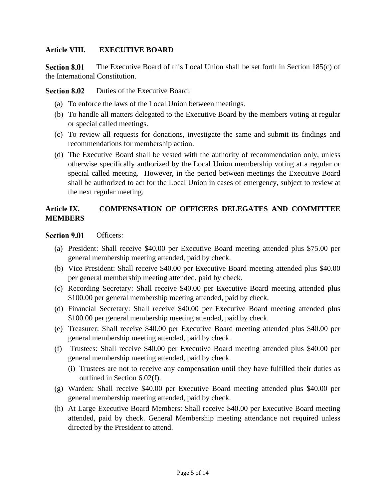#### **Article VIII. EXECUTIVE BOARD**

**Section 8.01** The Executive Board of this Local Union shall be set forth in Section 185(c) of the International Constitution.

**Section 8.02** Duties of the Executive Board:

- (a) To enforce the laws of the Local Union between meetings.
- (b) To handle all matters delegated to the Executive Board by the members voting at regular or special called meetings.
- (c) To review all requests for donations, investigate the same and submit its findings and recommendations for membership action.
- (d) The Executive Board shall be vested with the authority of recommendation only, unless otherwise specifically authorized by the Local Union membership voting at a regular or special called meeting. However, in the period between meetings the Executive Board shall be authorized to act for the Local Union in cases of emergency, subject to review at the next regular meeting.

#### **Article IX. COMPENSATION OF OFFICERS DELEGATES AND COMMITTEE MEMBERS**

#### **Section 9.01** Officers:

- (a) President: Shall receive \$40.00 per Executive Board meeting attended plus \$75.00 per general membership meeting attended, paid by check.
- (b) Vice President: Shall receive \$40.00 per Executive Board meeting attended plus \$40.00 per general membership meeting attended, paid by check.
- (c) Recording Secretary: Shall receive \$40.00 per Executive Board meeting attended plus \$100.00 per general membership meeting attended, paid by check.
- (d) Financial Secretary: Shall receive \$40.00 per Executive Board meeting attended plus \$100.00 per general membership meeting attended, paid by check.
- (e) Treasurer: Shall receive \$40.00 per Executive Board meeting attended plus \$40.00 per general membership meeting attended, paid by check.
- (f) Trustees: Shall receive \$40.00 per Executive Board meeting attended plus \$40.00 per general membership meeting attended, paid by check.
	- (i) Trustees are not to receive any compensation until they have fulfilled their duties as outlined in Section 6.02(f).
- (g) Warden: Shall receive \$40.00 per Executive Board meeting attended plus \$40.00 per general membership meeting attended, paid by check.
- (h) At Large Executive Board Members: Shall receive \$40.00 per Executive Board meeting attended, paid by check. General Membership meeting attendance not required unless directed by the President to attend.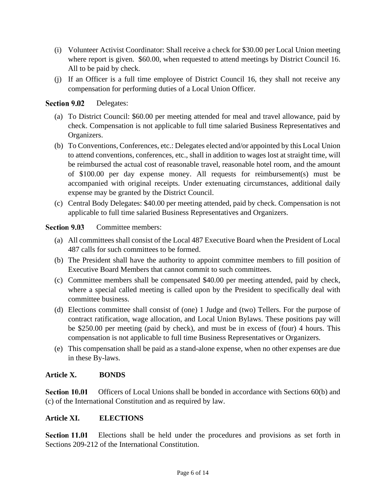- (i) Volunteer Activist Coordinator: Shall receive a check for \$30.00 per Local Union meeting where report is given. \$60.00, when requested to attend meetings by District Council 16. All to be paid by check.
- (j) If an Officer is a full time employee of District Council 16, they shall not receive any compensation for performing duties of a Local Union Officer.

#### **Section 9.02** Delegates:

- (a) To District Council: \$60.00 per meeting attended for meal and travel allowance, paid by check. Compensation is not applicable to full time salaried Business Representatives and Organizers.
- (b) To Conventions, Conferences, etc.: Delegates elected and/or appointed by this Local Union to attend conventions, conferences, etc., shall in addition to wages lost at straight time, will be reimbursed the actual cost of reasonable travel, reasonable hotel room, and the amount of \$100.00 per day expense money. All requests for reimbursement(s) must be accompanied with original receipts. Under extenuating circumstances, additional daily expense may be granted by the District Council.
- (c) Central Body Delegates: \$40.00 per meeting attended, paid by check. Compensation is not applicable to full time salaried Business Representatives and Organizers.

#### **Section 9.03** Committee members:

- (a) All committees shall consist of the Local 487 Executive Board when the President of Local 487 calls for such committees to be formed.
- (b) The President shall have the authority to appoint committee members to fill position of Executive Board Members that cannot commit to such committees.
- (c) Committee members shall be compensated \$40.00 per meeting attended, paid by check, where a special called meeting is called upon by the President to specifically deal with committee business.
- (d) Elections committee shall consist of (one) 1 Judge and (two) Tellers. For the purpose of contract ratification, wage allocation, and Local Union Bylaws. These positions pay will be \$250.00 per meeting (paid by check), and must be in excess of (four) 4 hours. This compensation is not applicable to full time Business Representatives or Organizers.
- (e) This compensation shall be paid as a stand-alone expense, when no other expenses are due in these By-laws.

#### **Article X. BONDS**

Officers of Local Unions shall be bonded in accordance with Sections 60(b) and Section 10.01 (c) of the International Constitution and as required by law.

#### **Article XI. ELECTIONS**

**Section 11.01** Elections shall be held under the procedures and provisions as set forth in Sections 209-212 of the International Constitution.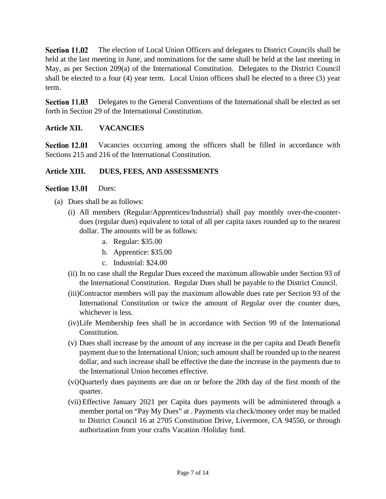Section 11.02 The election of Local Union Officers and delegates to District Councils shall be held at the last meeting in June, and nominations for the same shall be held at the last meeting in May, as per Section 209(a) of the International Constitution. Delegates to the District Council shall be elected to a four (4) year term. Local Union officers shall be elected to a three (3) year term.

**Section 11.03** Delegates to the General Conventions of the International shall be elected as set forth in Section 29 of the International Constitution.

#### **Article XII. VACANCIES**

Section 12.01 Vacancies occurring among the officers shall be filled in accordance with Sections 215 and 216 of the International Constitution.

#### **Article XIII. DUES, FEES, AND ASSESSMENTS**

#### Section 13.01 Dues:

- (a) Dues shall be as follows:
	- (i) All members (Regular/Apprentices/Industrial) shall pay monthly over-the-counterdues (regular dues) equivalent to total of all per capita taxes rounded up to the nearest dollar. The amounts will be as follows:
		- a. Regular: \$35.00
		- b. Apprentice: \$35.00
		- c. Industrial: \$24.00
	- (ii) In no case shall the Regular Dues exceed the maximum allowable under Section 93 of the International Constitution. Regular Dues shall be payable to the District Council.
	- (iii)Contractor members will pay the maximum allowable dues rate per Section 93 of the International Constitution or twice the amount of Regular over the counter dues, whichever is less.
	- (iv)Life Membership fees shall be in accordance with Section 99 of the International Constitution.
	- (v) Dues shall increase by the amount of any increase in the per capita and Death Benefit payment due to the International Union; such amount shall be rounded up to the nearest dollar, and such increase shall be effective the date the increase in the payments due to the International Union becomes effective.
	- (vi)Quarterly dues payments are due on or before the 20th day of the first month of the quarter.
	- (vii) Effective January 2021 per Capita dues payments will be administered through a member portal on "Pay My Dues" at . Payments via check/money order may be mailed to District Council 16 at 2705 Constitution Drive, Livermore, CA 94550, or through authorization from your crafts Vacation /Holiday fund.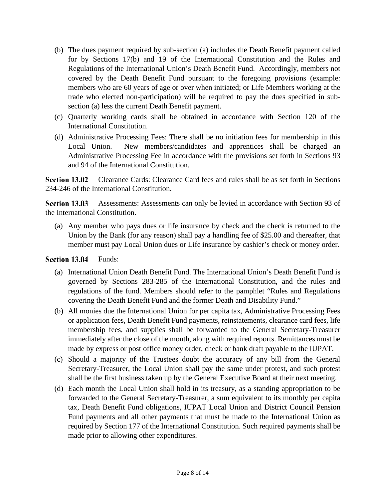- (b) The dues payment required by sub-section (a) includes the Death Benefit payment called for by Sections 17(b) and 19 of the International Constitution and the Rules and Regulations of the International Union's Death Benefit Fund. Accordingly, members not covered by the Death Benefit Fund pursuant to the foregoing provisions (example: members who are 60 years of age or over when initiated; or Life Members working at the trade who elected non-participation) will be required to pay the dues specified in subsection (a) less the current Death Benefit payment.
- (c) Quarterly working cards shall be obtained in accordance with Section 120 of the International Constitution.
- (d) Administrative Processing Fees: There shall be no initiation fees for membership in this Local Union. New members/candidates and apprentices shall be charged an Administrative Processing Fee in accordance with the provisions set forth in Sections 93 and 94 of the International Constitution.

Section 13.02 Clearance Cards: Clearance Card fees and rules shall be as set forth in Sections 234-246 of the International Constitution.

Section 13.03 Assessments: Assessments can only be levied in accordance with Section 93 of the International Constitution.

(a) Any member who pays dues or life insurance by check and the check is returned to the Union by the Bank (for any reason) shall pay a handling fee of \$25.00 and thereafter, that member must pay Local Union dues or Life insurance by cashier's check or money order.

#### **Section 13.04** Funds:

- (a) International Union Death Benefit Fund. The International Union's Death Benefit Fund is governed by Sections 283-285 of the International Constitution, and the rules and regulations of the fund. Members should refer to the pamphlet "Rules and Regulations covering the Death Benefit Fund and the former Death and Disability Fund."
- (b) All monies due the International Union for per capita tax, Administrative Processing Fees or application fees, Death Benefit Fund payments, reinstatements, clearance card fees, life membership fees, and supplies shall be forwarded to the General Secretary-Treasurer immediately after the close of the month, along with required reports. Remittances must be made by express or post office money order, check or bank draft payable to the IUPAT.
- (c) Should a majority of the Trustees doubt the accuracy of any bill from the General Secretary-Treasurer, the Local Union shall pay the same under protest, and such protest shall be the first business taken up by the General Executive Board at their next meeting.
- (d) Each month the Local Union shall hold in its treasury, as a standing appropriation to be forwarded to the General Secretary-Treasurer, a sum equivalent to its monthly per capita tax, Death Benefit Fund obligations, IUPAT Local Union and District Council Pension Fund payments and all other payments that must be made to the International Union as required by Section 177 of the International Constitution. Such required payments shall be made prior to allowing other expenditures.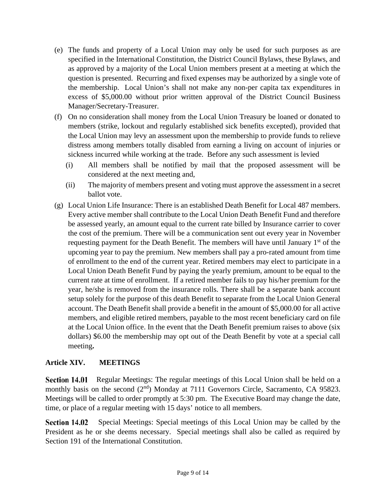- (e) The funds and property of a Local Union may only be used for such purposes as are specified in the International Constitution, the District Council Bylaws, these Bylaws, and as approved by a majority of the Local Union members present at a meeting at which the question is presented. Recurring and fixed expenses may be authorized by a single vote of the membership. Local Union's shall not make any non-per capita tax expenditures in excess of \$5,000.00 without prior written approval of the District Council Business Manager/Secretary-Treasurer.
- (f) On no consideration shall money from the Local Union Treasury be loaned or donated to members (strike, lockout and regularly established sick benefits excepted), provided that the Local Union may levy an assessment upon the membership to provide funds to relieve distress among members totally disabled from earning a living on account of injuries or sickness incurred while working at the trade. Before any such assessment is levied
	- (i) All members shall be notified by mail that the proposed assessment will be considered at the next meeting and,
	- (ii) The majority of members present and voting must approve the assessment in a secret ballot vote.
- (g) Local Union Life Insurance: There is an established Death Benefit for Local 487 members. Every active member shall contribute to the Local Union Death Benefit Fund and therefore be assessed yearly, an amount equal to the current rate billed by Insurance carrier to cover the cost of the premium. There will be a communication sent out every year in November requesting payment for the Death Benefit. The members will have until January 1<sup>st</sup> of the upcoming year to pay the premium. New members shall pay a pro-rated amount from time of enrollment to the end of the current year. Retired members may elect to participate in a Local Union Death Benefit Fund by paying the yearly premium, amount to be equal to the current rate at time of enrollment. If a retired member fails to pay his/her premium for the year, he/she is removed from the insurance rolls. There shall be a separate bank account setup solely for the purpose of this death Benefit to separate from the Local Union General account. The Death Benefit shall provide a benefit in the amount of \$5,000.00 for all active members, and eligible retired members, payable to the most recent beneficiary card on file at the Local Union office. In the event that the Death Benefit premium raises to above (six dollars) \$6.00 the membership may opt out of the Death Benefit by vote at a special call meeting**.**

#### **Article XIV. MEETINGS**

**Section 14.01** Regular Meetings: The regular meetings of this Local Union shall be held on a monthly basis on the second (2<sup>nd</sup>) Monday at 7111 Governors Circle, Sacramento, CA 95823. Meetings will be called to order promptly at 5:30 pm. The Executive Board may change the date, time, or place of a regular meeting with 15 days' notice to all members.

Section 14.02 Special Meetings: Special meetings of this Local Union may be called by the President as he or she deems necessary. Special meetings shall also be called as required by Section 191 of the International Constitution.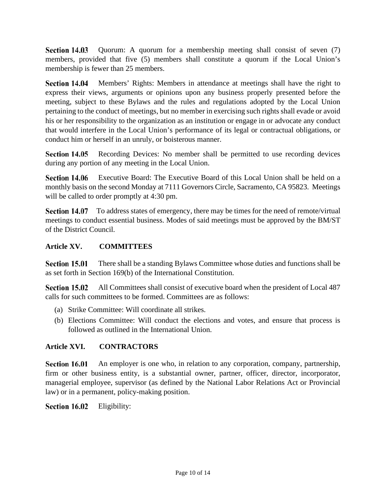Quorum: A quorum for a membership meeting shall consist of seven (7) **Section 14.03** members, provided that five (5) members shall constitute a quorum if the Local Union's membership is fewer than 25 members.

Section 14.04 Members' Rights: Members in attendance at meetings shall have the right to express their views, arguments or opinions upon any business properly presented before the meeting, subject to these Bylaws and the rules and regulations adopted by the Local Union pertaining to the conduct of meetings, but no member in exercising such rights shall evade or avoid his or her responsibility to the organization as an institution or engage in or advocate any conduct that would interfere in the Local Union's performance of its legal or contractual obligations, or conduct him or herself in an unruly, or boisterous manner.

Section 14.05 Recording Devices: No member shall be permitted to use recording devices during any portion of any meeting in the Local Union.

Executive Board: The Executive Board of this Local Union shall be held on a Section 14.06 monthly basis on the second Monday at 7111 Governors Circle, Sacramento, CA 95823. Meetings will be called to order promptly at 4:30 pm.

**Section 14.07** To address states of emergency, there may be times for the need of remote/virtual meetings to conduct essential business. Modes of said meetings must be approved by the BM/ST of the District Council.

### **Article XV. COMMITTEES**

Section 15.01 There shall be a standing Bylaws Committee whose duties and functions shall be as set forth in Section 169(b) of the International Constitution.

Section 15.02 All Committees shall consist of executive board when the president of Local 487 calls for such committees to be formed. Committees are as follows:

- (a) Strike Committee: Will coordinate all strikes.
- (b) Elections Committee: Will conduct the elections and votes, and ensure that process is followed as outlined in the International Union.

### **Article XVI. CONTRACTORS**

Section 16.01 An employer is one who, in relation to any corporation, company, partnership, firm or other business entity, is a substantial owner, partner, officer, director, incorporator, managerial employee, supervisor (as defined by the National Labor Relations Act or Provincial law) or in a permanent, policy-making position.

Section 16.02 Eligibility: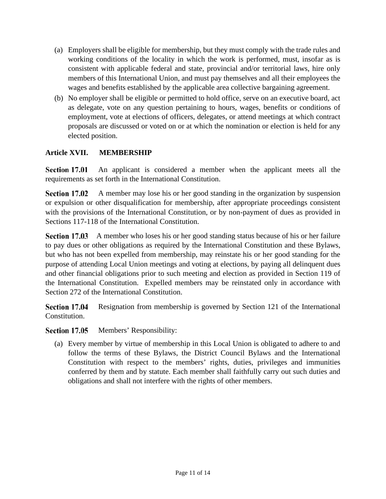- (a) Employers shall be eligible for membership, but they must comply with the trade rules and working conditions of the locality in which the work is performed, must, insofar as is consistent with applicable federal and state, provincial and/or territorial laws, hire only members of this International Union, and must pay themselves and all their employees the wages and benefits established by the applicable area collective bargaining agreement.
- (b) No employer shall be eligible or permitted to hold office, serve on an executive board, act as delegate, vote on any question pertaining to hours, wages, benefits or conditions of employment, vote at elections of officers, delegates, or attend meetings at which contract proposals are discussed or voted on or at which the nomination or election is held for any elected position.

### **Article XVII. MEMBERSHIP**

Section 17.01 An applicant is considered a member when the applicant meets all the requirements as set forth in the International Constitution.

Section 17.02 A member may lose his or her good standing in the organization by suspension or expulsion or other disqualification for membership, after appropriate proceedings consistent with the provisions of the International Constitution, or by non-payment of dues as provided in Sections 117-118 of the International Constitution.

**Section 17.03** A member who loses his or her good standing status because of his or her failure to pay dues or other obligations as required by the International Constitution and these Bylaws, but who has not been expelled from membership, may reinstate his or her good standing for the purpose of attending Local Union meetings and voting at elections, by paying all delinquent dues and other financial obligations prior to such meeting and election as provided in Section 119 of the International Constitution. Expelled members may be reinstated only in accordance with Section 272 of the International Constitution.

Section 17.04 Resignation from membership is governed by Section 121 of the International Constitution.

Section 17.05 Members' Responsibility:

(a) Every member by virtue of membership in this Local Union is obligated to adhere to and follow the terms of these Bylaws, the District Council Bylaws and the International Constitution with respect to the members' rights, duties, privileges and immunities conferred by them and by statute. Each member shall faithfully carry out such duties and obligations and shall not interfere with the rights of other members.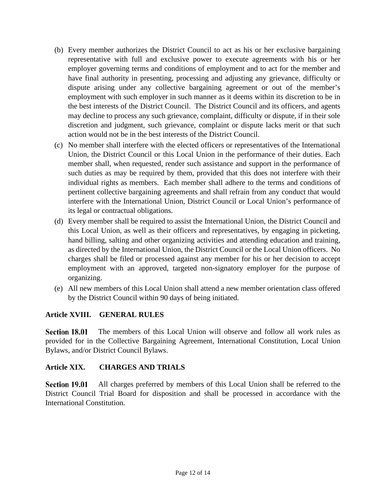- (b) Every member authorizes the District Council to act as his or her exclusive bargaining representative with full and exclusive power to execute agreements with his or her employer governing terms and conditions of employment and to act for the member and have final authority in presenting, processing and adjusting any grievance, difficulty or dispute arising under any collective bargaining agreement or out of the member's employment with such employer in such manner as it deems within its discretion to be in the best interests of the District Council. The District Council and its officers, and agents may decline to process any such grievance, complaint, difficulty or dispute, if in their sole discretion and judgment, such grievance, complaint or dispute lacks merit or that such action would not be in the best interests of the District Council.
- (c) No member shall interfere with the elected officers or representatives of the International Union, the District Council or this Local Union in the performance of their duties. Each member shall, when requested, render such assistance and support in the performance of such duties as may be required by them, provided that this does not interfere with their individual rights as members. Each member shall adhere to the terms and conditions of pertinent collective bargaining agreements and shall refrain from any conduct that would interfere with the International Union, District Council or Local Union's performance of its legal or contractual obligations.
- (d) Every member shall be required to assist the International Union, the District Council and this Local Union, as well as their officers and representatives, by engaging in picketing, hand billing, salting and other organizing activities and attending education and training, as directed by the International Union, the District Council or the Local Union officers. No charges shall be filed or processed against any member for his or her decision to accept employment with an approved, targeted non-signatory employer for the purpose of organizing.
- (e) All new members of this Local Union shall attend a new member orientation class offered by the District Council within 90 days of being initiated.

#### **Article XVIII. GENERAL RULES**

Section 18.01 The members of this Local Union will observe and follow all work rules as provided for in the Collective Bargaining Agreement, International Constitution, Local Union Bylaws, and/or District Council Bylaws.

#### **Article XIX. CHARGES AND TRIALS**

Section 19.01 All charges preferred by members of this Local Union shall be referred to the District Council Trial Board for disposition and shall be processed in accordance with the International Constitution.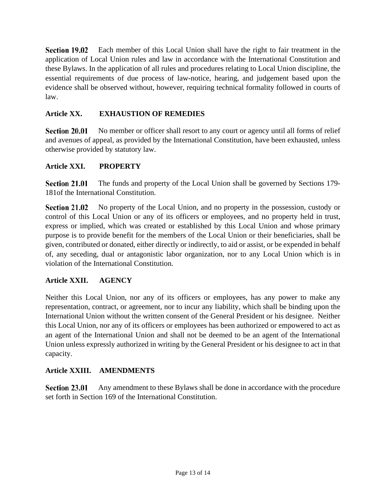Section 19.02 Each member of this Local Union shall have the right to fair treatment in the application of Local Union rules and law in accordance with the International Constitution and these Bylaws. In the application of all rules and procedures relating to Local Union discipline, the essential requirements of due process of law-notice, hearing, and judgement based upon the evidence shall be observed without, however, requiring technical formality followed in courts of law.

#### **Article XX. EXHAUSTION OF REMEDIES**

**Section 20.01** No member or officer shall resort to any court or agency until all forms of relief and avenues of appeal, as provided by the International Constitution, have been exhausted, unless otherwise provided by statutory law.

#### **Article XXI. PROPERTY**

**Section 21.01** The funds and property of the Local Union shall be governed by Sections 179- 181of the International Constitution.

**Section 21.02** No property of the Local Union, and no property in the possession, custody or control of this Local Union or any of its officers or employees, and no property held in trust, express or implied, which was created or established by this Local Union and whose primary purpose is to provide benefit for the members of the Local Union or their beneficiaries, shall be given, contributed or donated, either directly or indirectly, to aid or assist, or be expended in behalf of, any seceding, dual or antagonistic labor organization, nor to any Local Union which is in violation of the International Constitution.

#### **Article XXII. AGENCY**

Neither this Local Union, nor any of its officers or employees, has any power to make any representation, contract, or agreement, nor to incur any liability, which shall be binding upon the International Union without the written consent of the General President or his designee. Neither this Local Union, nor any of its officers or employees has been authorized or empowered to act as an agent of the International Union and shall not be deemed to be an agent of the International Union unless expressly authorized in writing by the General President or his designee to act in that capacity.

#### **Article XXIII. AMENDMENTS**

Section 23.01 Any amendment to these Bylaws shall be done in accordance with the procedure set forth in Section 169 of the International Constitution.